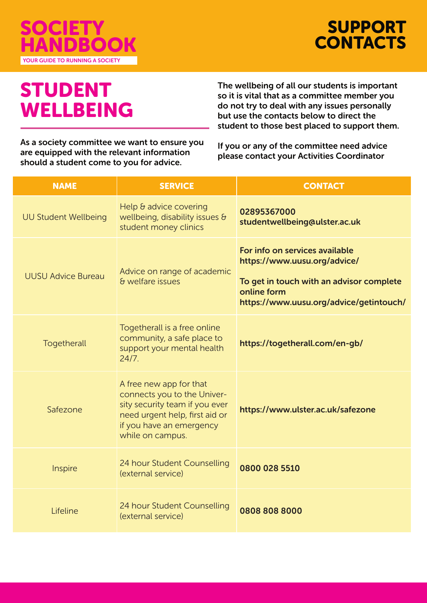

SUPPORT **CONTACTS** 

## STUDENT WELLBEING

The wellbeing of all our students is important so it is vital that as a committee member you do not try to deal with any issues personally but use the contacts below to direct the student to those best placed to support them.

As a society committee we want to ensure you are equipped with the relevant information should a student come to you for advice.

If you or any of the committee need advice please contact your Activities Coordinator

| <b>NAME</b>                 | <b>SERVICE</b>                                                                                                                                                             | <b>CONTACT</b>                                                                                                                                                       |
|-----------------------------|----------------------------------------------------------------------------------------------------------------------------------------------------------------------------|----------------------------------------------------------------------------------------------------------------------------------------------------------------------|
| <b>UU Student Wellbeing</b> | Help & advice covering<br>wellbeing, disability issues &<br>student money clinics                                                                                          | 02895367000<br>studentwellbeing@ulster.ac.uk                                                                                                                         |
| <b>UUSU Advice Bureau</b>   | Advice on range of academic<br>& welfare issues                                                                                                                            | For info on services available<br>https://www.uusu.org/advice/<br>To get in touch with an advisor complete<br>online form<br>https://www.uusu.org/advice/getintouch/ |
| Togetherall                 | Togetherall is a free online<br>community, a safe place to<br>support your mental health<br>24/7.                                                                          | https://togetherall.com/en-gb/                                                                                                                                       |
| Safezone                    | A free new app for that<br>connects you to the Univer-<br>sity security team if you ever<br>need urgent help, first aid or<br>if you have an emergency<br>while on campus. | https://www.ulster.ac.uk/safezone                                                                                                                                    |
| Inspire                     | 24 hour Student Counselling<br>(external service)                                                                                                                          | 0800 028 5510                                                                                                                                                        |
| Lifeline                    | 24 hour Student Counselling<br>(external service)                                                                                                                          | 0808 808 8000                                                                                                                                                        |